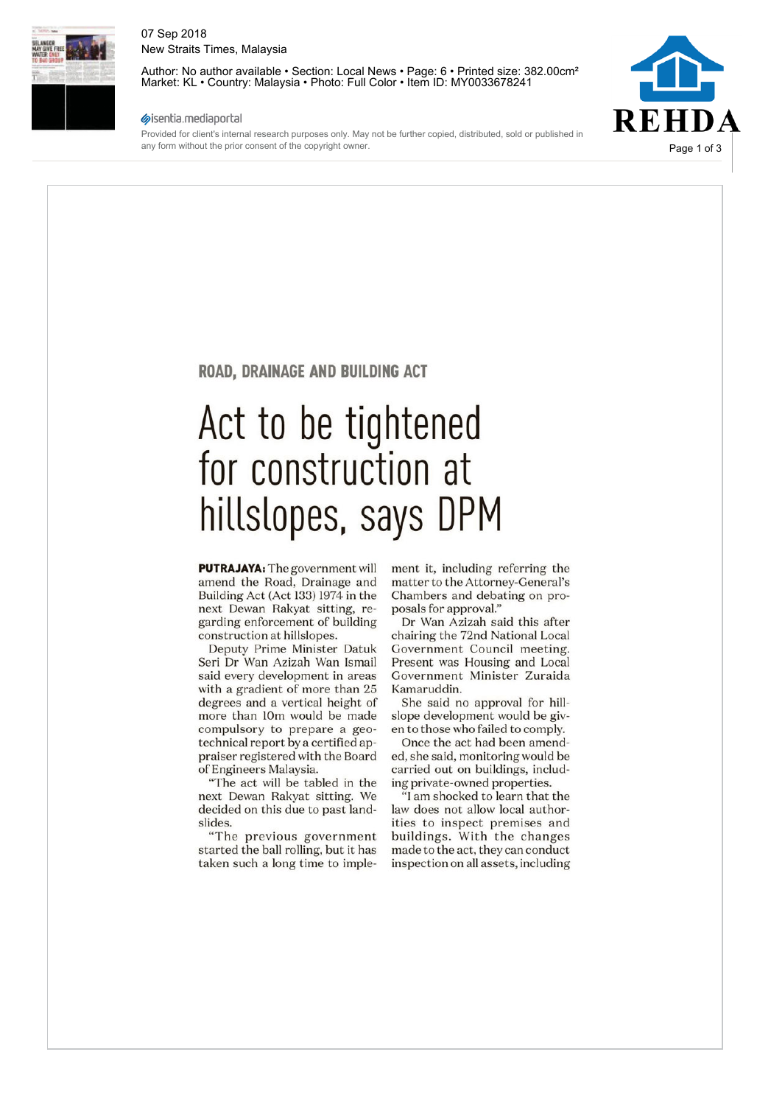

#### 07 Sep 2018 New Straits Times, Malaysia

Author: No author available • Section: Local News • Page: 6 • Printed size: 382.00cm<sup>2</sup> Market: KL • Country: Malaysia • Photo: Full Color • Item ID: MY0033678241

#### sisentia.mediaportal

Provided for client's internal research purposes only. May not be further copied, distributed, sold or published in any form without the prior consent of the copyright owner.



#### ROAD, DRAINAGE AND BUILDING ACT

## Act to be tightened for construction at hillslopes, says DPM

PUTRAJAYA: The government will amend the Road, Drainage and Building Act (Act 133) 1974 in the next Dewan Rakyat sitting, regarding enforcement of building construction at hillslopes.

Deputy Prime Minister Datuk Seri Dr Wan Azizah Wan Ismail said every development in areas with a gradient of more than 25 degrees and a vertical height of more than 10m would be made compulsory to prepare a geotechnical report by a certified appraiser registered with the Board of Engineers Malaysia.

"The act will be tabled in the next Dewan Rakyat sitting. We decided on this due to past landslides.

"The previous government started the ball rolling, but it has taken such a long time to implement it, including referring the matter to the Attorney-General's Chambers and debating on proposals for approval."

Dr Wan Azizah said this after chairing the 72nd National Local Government Council meeting. Present was Housing and Local Government Minister Zuraida Kamaruddin.

She said no approval for hillslope development would be given to those who failed to comply.

Once the act had been amended, she said, monitoring would be carried out on buildings, including private-owned properties.

"I am shocked to learn that the law does not allow local authorities to inspect premises and buildings. With the changes made to the act, they can conduct inspection on all assets, including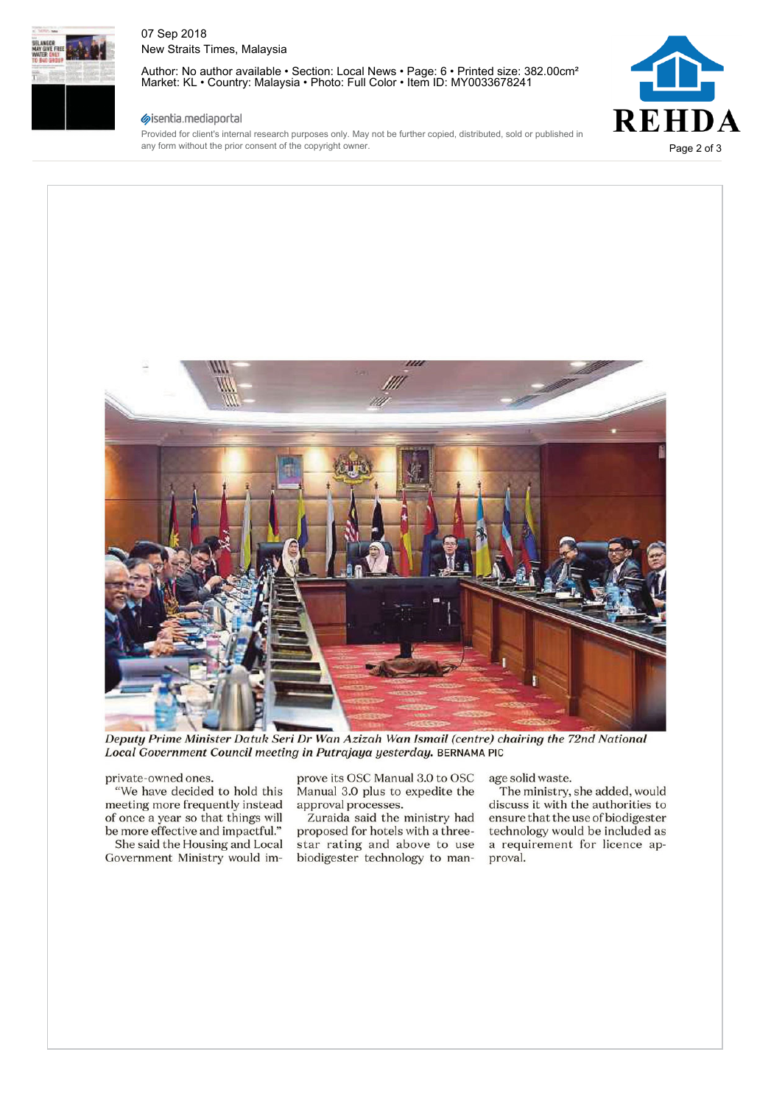

#### 07 Sep 2018 New Straits Times, Malaysia

Author: No author available • Section: Local News • Page: 6 • Printed size: 382.00cm² Market: KL • Country: Malaysia • Photo: Full Color • Item ID: MY0033678241

# **REHDA** Page 2 of 3

#### sisentia.mediaportal

Provided for client's internal research purposes only. May not be further copied, distributed, sold or published in any form without the prior consent of the copyright owner.



*Deputy Prime Minister Datuk Seri Dr Wan Azizah Wan Ismail (centre) chairing the 72nd National Local Government Council meeting in Putrajaya yesterday.* BERNAMA PIC

#### private-owned ones.

"We have decided to hold this meeting more frequently instead of once a year so that things will be more effective and impactful." She said the Housing and Local

Government Ministry would im-

prove its OSC Manual 3.0 to OSC Manual 3.0 plus to expedite the approval processes.

Zuraida said the ministry had proposed for hotels with a threestar rating and above to use biodigester technology to manage solid waste.

The ministry, she added, would discuss it with the authorities to ensure that the use of biodigester technology would be included as a requirement for licence approval.